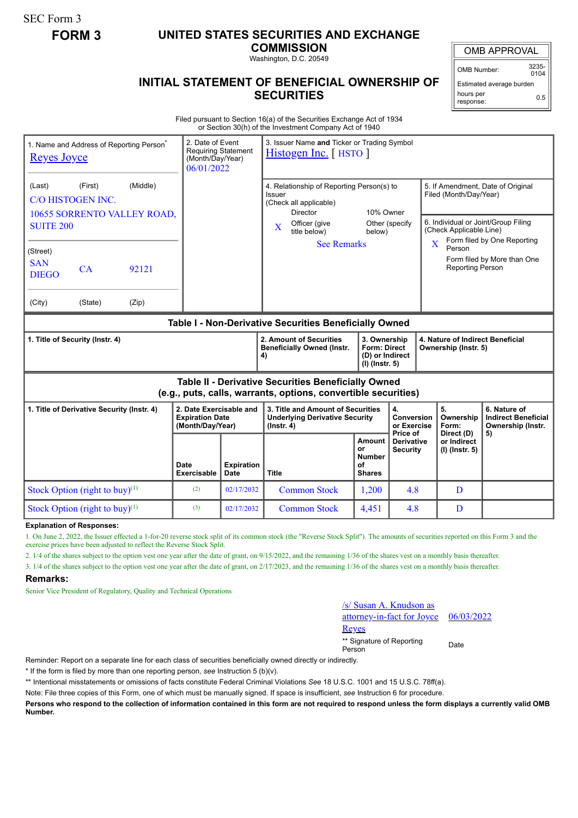SEC Form 3

# **FORM 3 UNITED STATES SECURITIES AND EXCHANGE**

**COMMISSION** Washington, D.C. 20549

OMB APPROVAL

OMB Number: 3235-  $0104$ 

Estimated average burden hours per response: 0.5

## **INITIAL STATEMENT OF BENEFICIAL OWNERSHIP OF SECURITIES**

Filed pursuant to Section 16(a) of the Securities Exchange Act of 1934 or Section 30(h) of the Investment Company Act of 1940

| <b>Reyes Joyce</b>                                                                                                    |         | 1. Name and Address of Reporting Person <sup>®</sup> |                                                                       | 3. Issuer Name and Ticker or Trading Symbol<br>2. Date of Event<br><b>Requiring Statement</b><br>Histogen Inc. [HSTO]<br>(Month/Day/Year)<br>06/01/2022 |                                                                                                            |                                                                   |                                             |                                                                                                    |                                             |                                                                 |
|-----------------------------------------------------------------------------------------------------------------------|---------|------------------------------------------------------|-----------------------------------------------------------------------|---------------------------------------------------------------------------------------------------------------------------------------------------------|------------------------------------------------------------------------------------------------------------|-------------------------------------------------------------------|---------------------------------------------|----------------------------------------------------------------------------------------------------|---------------------------------------------|-----------------------------------------------------------------|
| (Middle)<br>(First)<br>(Last)<br>C/O HISTOGEN INC.<br>10655 SORRENTO VALLEY ROAD,                                     |         |                                                      |                                                                       |                                                                                                                                                         | 4. Relationship of Reporting Person(s) to<br>Issuer<br>(Check all applicable)<br>Director<br>Officer (give | 10% Owner<br>Other (specify                                       |                                             | 5. If Amendment, Date of Original<br>Filed (Month/Day/Year)<br>6. Individual or Joint/Group Filing |                                             |                                                                 |
| <b>SUITE 200</b>                                                                                                      |         |                                                      |                                                                       |                                                                                                                                                         | $\mathbf{X}$<br>title below)<br>below)                                                                     |                                                                   |                                             | (Check Applicable Line)<br>Form filed by One Reporting                                             |                                             |                                                                 |
| (Street)<br><b>SAN</b><br><b>DIEGO</b>                                                                                | CA      | 92121                                                |                                                                       |                                                                                                                                                         | <b>See Remarks</b>                                                                                         |                                                                   |                                             | $\overline{\mathbf{X}}$                                                                            | Person<br>Reporting Person                  | Form filed by More than One                                     |
| (City)                                                                                                                | (State) | (Zip)                                                |                                                                       |                                                                                                                                                         |                                                                                                            |                                                                   |                                             |                                                                                                    |                                             |                                                                 |
| Table I - Non-Derivative Securities Beneficially Owned                                                                |         |                                                      |                                                                       |                                                                                                                                                         |                                                                                                            |                                                                   |                                             |                                                                                                    |                                             |                                                                 |
| 1. Title of Security (Instr. 4)                                                                                       |         |                                                      |                                                                       |                                                                                                                                                         | 2. Amount of Securities<br><b>Beneficially Owned (Instr.</b><br>4)                                         | 3. Ownership<br>Form: Direct<br>(D) or Indirect<br>(I) (Instr. 5) |                                             | 4. Nature of Indirect Beneficial<br>Ownership (Instr. 5)                                           |                                             |                                                                 |
| Table II - Derivative Securities Beneficially Owned<br>(e.g., puts, calls, warrants, options, convertible securities) |         |                                                      |                                                                       |                                                                                                                                                         |                                                                                                            |                                                                   |                                             |                                                                                                    |                                             |                                                                 |
| 1. Title of Derivative Security (Instr. 4)                                                                            |         |                                                      | 2. Date Exercisable and<br><b>Expiration Date</b><br>(Month/Day/Year) |                                                                                                                                                         | 3. Title and Amount of Securities<br><b>Underlying Derivative Security</b><br>$($ lnstr. 4 $)$             |                                                                   | 4.<br>Conversion<br>or Exercise<br>Price of |                                                                                                    | 5.<br>Ownership<br>Form:                    | 6. Nature of<br><b>Indirect Beneficial</b><br>Ownership (Instr. |
|                                                                                                                       |         |                                                      | Date<br><b>Exercisable</b>                                            | <b>Expiration</b><br>Date                                                                                                                               | <b>Title</b>                                                                                               | Amount<br>or<br><b>Number</b><br>οf<br><b>Shares</b>              | <b>Derivative</b><br><b>Security</b>        |                                                                                                    | Direct (D)<br>or Indirect<br>(I) (Instr. 5) | 5)                                                              |
| Stock Option (right to buy) $(1)$                                                                                     |         | (2)                                                  | 02/17/2032                                                            | <b>Common Stock</b>                                                                                                                                     | 1,200                                                                                                      | 4.8                                                               |                                             | D                                                                                                  |                                             |                                                                 |
| Stock Option (right to buy) $(1)$                                                                                     |         | (3)                                                  | 02/17/2032                                                            | <b>Common Stock</b>                                                                                                                                     | 4,451                                                                                                      | 4.8                                                               |                                             | D                                                                                                  |                                             |                                                                 |

**Explanation of Responses:**

1. On June 2, 2022, the Issuer effected a 1-for-20 reverse stock split of its common stock (the "Reverse Stock Split"). The amounts of securities reported on this Form 3 and the exercise prices have been adjusted to reflect the Reverse Stock Split.

2. 1/4 of the shares subject to the option vest one year after the date of grant, on 9/15/2022, and the remaining 1/36 of the shares vest on a monthly basis thereafter.

3. 1/4 of the shares subject to the option vest one year after the date of grant, on 2/17/2023, and the remaining 1/36 of the shares vest on a monthly basis thereafter.

#### **Remarks:**

Senior Vice President of Regulatory, Quality and Technical Operations

### /s/ Susan A. Knudson as

attorney-in-fact for Joyce 06/03/2022

Reyes

\*\* Signature of Reporting <sub>Date</sub><br>Person

Reminder: Report on a separate line for each class of securities beneficially owned directly or indirectly.

\* If the form is filed by more than one reporting person, *see* Instruction 5 (b)(v).

\*\* Intentional misstatements or omissions of facts constitute Federal Criminal Violations *See* 18 U.S.C. 1001 and 15 U.S.C. 78ff(a).

Note: File three copies of this Form, one of which must be manually signed. If space is insufficient, *see* Instruction 6 for procedure.

**Persons who respond to the collection of information contained in this form are not required to respond unless the form displays a currently valid OMB Number.**